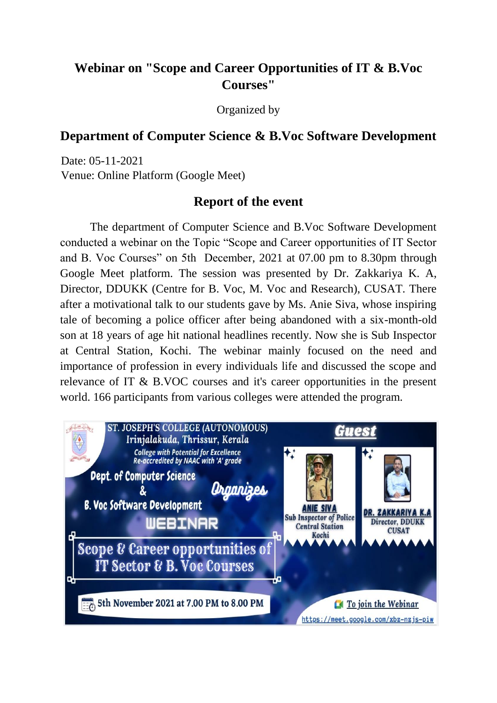## **Webinar on "Scope and Career Opportunities of IT & B.Voc Courses"**

Organized by

## **Department of Computer Science & B.Voc Software Development**

Date: 05-11-2021 Venue: Online Platform (Google Meet)

## **Report of the event**

The department of Computer Science and B.Voc Software Development conducted a webinar on the Topic "Scope and Career opportunities of IT Sector and B. Voc Courses" on 5th December, 2021 at 07.00 pm to 8.30pm through Google Meet platform. The session was presented by Dr. Zakkariya K. A, Director, DDUKK (Centre for B. Voc, M. Voc and Research), CUSAT. There after a motivational talk to our students gave by Ms. Anie Siva, whose inspiring tale of becoming a police officer after being abandoned with a six-month-old son at 18 years of age hit national headlines recently. Now she is Sub Inspector at Central Station, Kochi. The webinar mainly focused on the need and importance of profession in every individuals life and discussed the scope and relevance of IT & B.VOC courses and it's career opportunities in the present world. 166 participants from various colleges were attended the program.

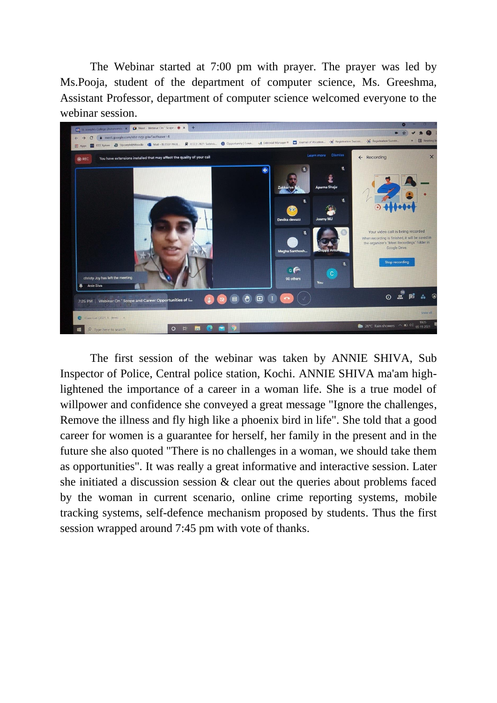The Webinar started at 7:00 pm with prayer. The prayer was led by Ms.Pooja, student of the department of computer science, Ms. Greeshma, Assistant Professor, department of computer science welcomed everyone to the webinar session.



The first session of the webinar was taken by ANNIE SHIVA, Sub Inspector of Police, Central police station, Kochi. ANNIE SHIVA ma'am highlightened the importance of a career in a woman life. She is a true model of willpower and confidence she conveyed a great message "Ignore the challenges, Remove the illness and fly high like a phoenix bird in life". She told that a good career for women is a guarantee for herself, her family in the present and in the future she also quoted "There is no challenges in a woman, we should take them as opportunities". It was really a great informative and interactive session. Later she initiated a discussion session & clear out the queries about problems faced by the woman in current scenario, online crime reporting systems, mobile tracking systems, self-defence mechanism proposed by students. Thus the first session wrapped around 7:45 pm with vote of thanks.